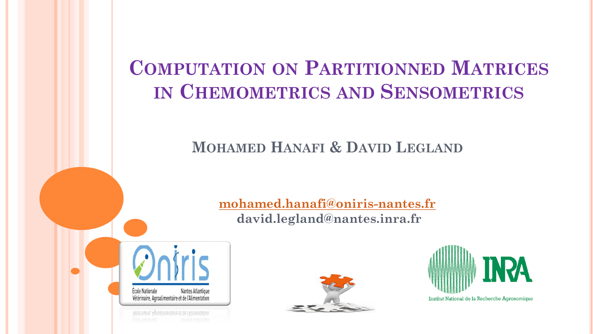# **COMPUTATION ON PARTITIONNED MATRICES IN CHEMOMETRICS AND SENSOMETRICS**

### **MOHAMED HANAFI & DAVID LEGLAND**

**[mohamed.hanafi@oniris-nantes.fr](mailto:mohamed.hanafi@oniris-nantes.fr) david.legland@nantes.inra.fr** 







Institut National de la Recherche Agronomique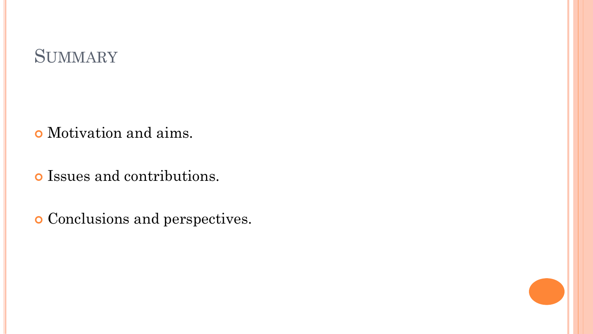# **SUMMARY**

Motivation and aims.

Issues and contributions.

Conclusions and perspectives.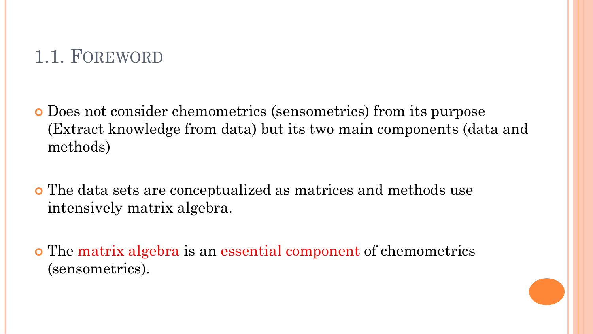## 1.1. FOREWORD

- Does not consider chemometrics (sensometrics) from its purpose (Extract knowledge from data) but its two main components (data and methods)
- The data sets are conceptualized as matrices and methods use intensively matrix algebra.
- The matrix algebra is an essential component of chemometrics (sensometrics).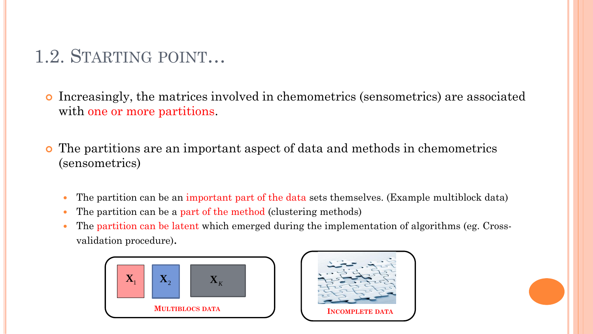# 1.2. STARTING POINT…

 Increasingly, the matrices involved in chemometrics (sensometrics) are associated with one or more partitions.

- The partitions are an important aspect of data and methods in chemometrics (sensometrics)
	- The partition can be an important part of the data sets themselves. (Example multiblock data)
	- The partition can be a part of the method (clustering methods)
	- The partition can be latent which emerged during the implementation of algorithms (eg. Crossvalidation procedure).



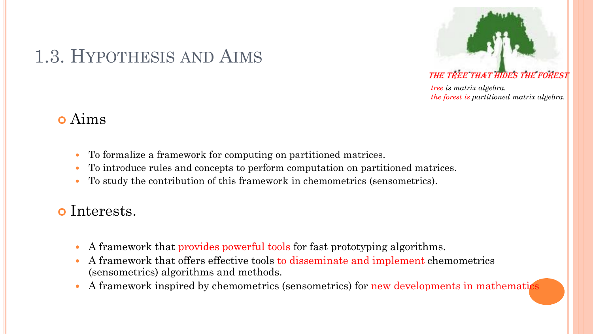# 1.3. HYPOTHESIS AND AIMS



### THE TREE THAT HIDES THE FOREST

*tree is matrix algebra. the forest is partitioned matrix algebra.*

### Aims

- To formalize a framework for computing on partitioned matrices.
- To introduce rules and concepts to perform computation on partitioned matrices.
- To study the contribution of this framework in chemometrics (sensometrics).

### o Interests.

- A framework that provides powerful tools for fast prototyping algorithms.
- A framework that offers effective tools to disseminate and implement chemometrics (sensometrics) algorithms and methods.
- A framework inspired by chemometrics (sensometrics) for new developments in mathematics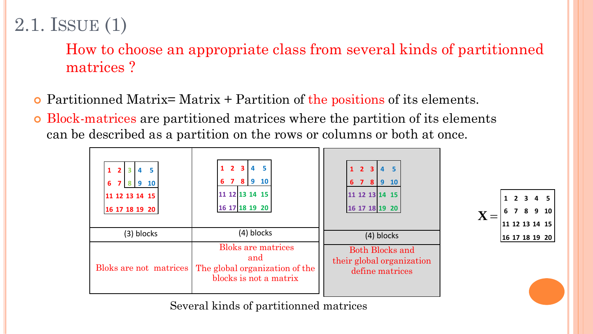# 2.1. ISSUE (1)

How to choose an appropriate class from several kinds of partitionned matrices ?

- Partitionned Matrix= Matrix + Partition of the positions of its elements.
- Block-matrices are partitioned matrices where the partition of its elements can be described as a partition on the rows or columns or both at once.



Several kinds of partitionned matrices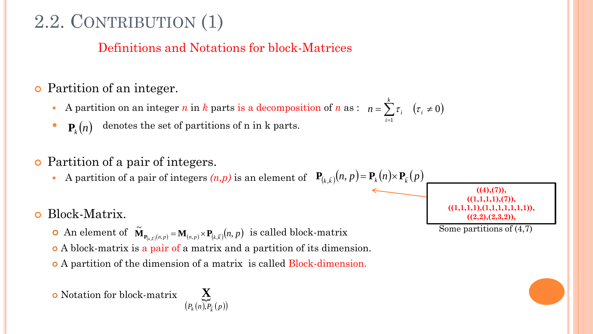# 2.2. CONTRIBUTION (1)

### Definitions and Notations for block-Matrices

### Partition of an integer.

- A partition on an integer *n* in *k* parts is a decomposition of *n* as :  $n = \sum \tau_i$   $(\tau_i \neq 0)$  $\mathbf{r}\sum\limits_{i}\tau_{_{i}}\quad\left( \tau_{_{i}}\neq\right.$ *k*  $n = \sum_i \tau_i$  (*t*
- denotes the set of partitions of n in k parts.  $\mathbf{P}_k(n)$

### Partition of a pair of integers.

• A partition of a pair of integers  $(n, p)$  is an element of  $P_{(k, \bar{k})}(n, p) = P_k(n) \times P_{\bar{k}}(p)$ 

### Block-Matrix.

- An element of  $\widetilde{\mathbf{M}}_{\mathbf{P}_{(k,\bar{k})}(n,p)} = \mathbf{M}_{(n,p)} \times \mathbf{P}_{(k,\bar{k})}(n,p)$  is called block-matrix ~<br>~  $\tilde{\mathbf{M}}_{\mathbf{P}_{(k,\bar{k})}(n,p)} = \mathbf{M}_{(n,\, p)} \!\times\! \mathbf{P}_{(k,\, p)}$
- A block-matrix is a pair of a matrix and a partition of its dimension.
- A partition of the dimension of a matrix is called Block-dimension.

Notation for block-matrix



 $((4),(7)),$  $((1,1,1,1),(7)),$ **((1,1,1,1),(1,1,1,1,1,1,1)), ((2,2),(2,3,2)),**

Some partitions of (4,7)

1

*i*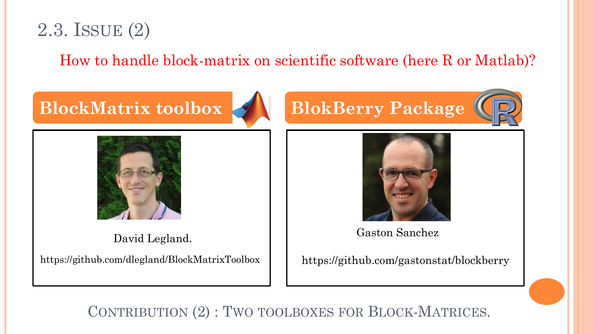

How to handle block-matrix on scientific software (here R or Matlab)?

# **BlockMatrix toolbox BlokBerry Package**



David Legland.

https://github.com/dlegland/BlockMatrixToolbox





Gaston Sanchez

https://github.com/gastonstat/blockberry

CONTRIBUTION (2) : TWO TOOLBOXES FOR BLOCK-MATRICES.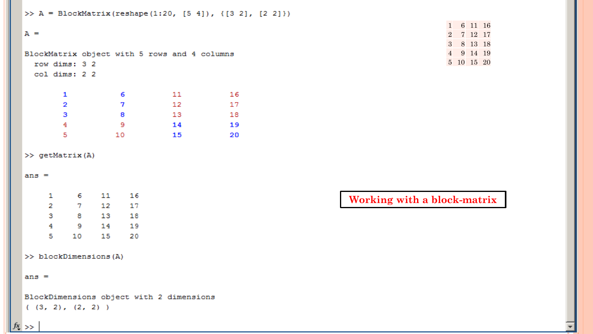```
>> A = BlockMatrix(reshape(1:20, [5 4]), {[3 2], [2 2]})
```
#### $A =$

```
BlockMatrix object with 5 rows and 4 columns
 row dims: 3 2
 col dims: 2 2
            -611 16
     \mathbf{1}\overline{2}7 12 17
     3
       8 13 18
```
 $\sim$   $\sim$   $\sim$  9  $\overline{4}$ 14 19  $\overline{5}$ 10  $15$  $\sim$  20

#### >> getMatrix(A)

#### ans  $=$

| 1 | 6  | 11 | 16 |
|---|----|----|----|
| 2 | 7  | 12 | 17 |
| з | 8  | 13 | 18 |
| 4 | 9  | 14 | 19 |
| 5 | 10 | 15 | 20 |

>> blockDimensions(A)

#### $ans =$

BlockDimensions object with 2 dimensions  $(3, 2), (2, 2)$ 

#### 1 6 11 16 2 7 12 17 3 8 13 18 4 9 14 19 5 10 15 20

### Working with a block-matrix

#### $f(x)$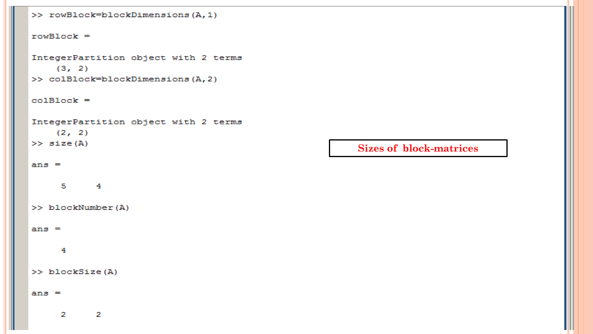```
>> rowBlock=blockDimensions (A, 1)
rowBlock =IntegerPartition object with 2 terms
    (3, 2)>> colBlock=blockDimensions (A, 2)
colBlock =IntegerPartition object with 2 terms
   (2, 2)>> size(A)Sizes of block-matricesans =5 \qquad 4>> blockNumber(A)ans =\blacktriangleleft>> blockSize(A)ans =\mathbf{z}-21
```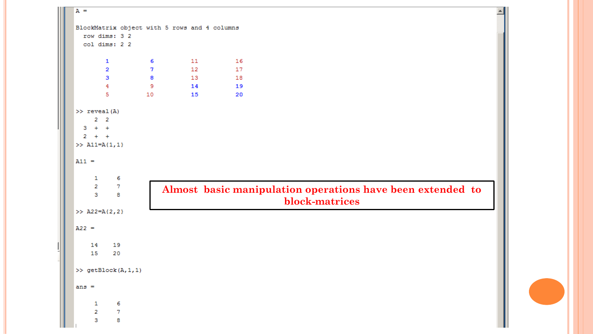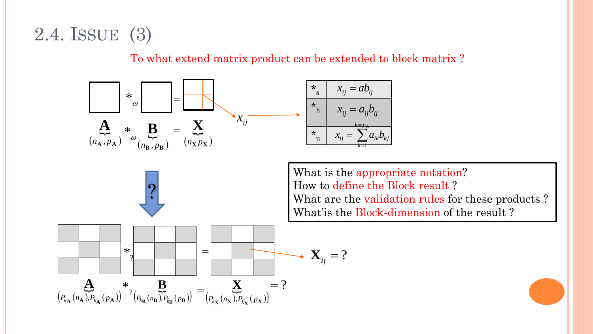# 2.4. ISSUE (3)

To what extend matrix product can be extended to block matrix ?

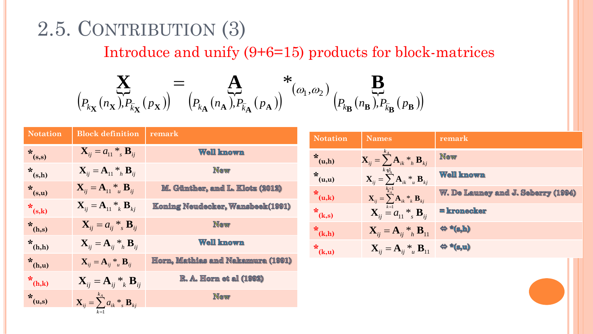# 2.5. CONTRIBUTION (3)

### Introduce and unify  $(9+6=15)$  products for block-matrices

$$
\sum_{\left(P_{k_{\mathbf{X}}}(n_{\mathbf{X}}), P_{k_{\mathbf{X}}}(p_{\mathbf{X}})\right)} = \mathop{\mathbf{A}}_{\left(P_{k_{\mathbf{A}}}(n_{\mathbf{A}}), P_{k_{\mathbf{A}}}(p_{\mathbf{A}})\right)} *_{\left(\omega_{1}, \omega_{2}\right)} \mathop{\mathbf{B}}_{\left(P_{k_{\mathbf{B}}}(n_{\mathbf{B}}), P_{k_{\mathbf{B}}}(p_{\mathbf{B}})\right)}
$$

| <b>Notation</b> | <b>Block definition</b>                                           | remark                                   |
|-----------------|-------------------------------------------------------------------|------------------------------------------|
| $*_{(s,s)}$     | $X_{ii} = a_{11} *_{s} B_{ii}$                                    | <b>Well known</b>                        |
| $*_{(s,h)}$     | $\mathbf{X}_{ii} = \mathbf{A}_{11} *_{h} \mathbf{B}_{ii}$         | <b>New</b>                               |
| $*_{(s,u)}$     | $\mathbf{X}_{ii} = \mathbf{A}_{11} *_{u} \mathbf{B}_{ii}$         | M. Günther, and L. Klotz (2012)          |
| $\star_{(s,k)}$ | $\mathbf{X}_{ii} = \mathbf{A}_{11} *_{k} \mathbf{B}_{ki}$         | <b>Koming Neudecker, Wansbeek(1991)</b>  |
| $*_{(h,s)}$     | $\mathbf{X}_{ii} = a_{ii} *_{s} \mathbf{B}_{ii}$                  | <b>New</b>                               |
| $*_{(h,h)}$     | $\mathbf{X}_{ii} = \mathbf{A}_{ii} *_{h} \mathbf{B}_{ii}$         | <b>Well known</b>                        |
| $*_{(h,u)}$     | $\mathbf{X}_{ii} = \mathbf{A}_{ii} *_{u} \mathbf{B}_{ii}$         | <u>Horm, Mathias and Nakamura (1991)</u> |
| $*_{(h,k)}$     | $\mathbf{X}_{ij} = \mathbf{A}_{ij} *_{k} \mathbf{B}_{ij}$         | <b>R. A. Horn et al (1992)</b>           |
| $x_{(u,s)}$     | $\mathbf{X}_{ii} = \sum_{k=1}^{k_A} a_{ik} *_{s} \mathbf{B}_{ki}$ | <b>New</b>                               |
|                 | $k=1$                                                             |                                          |

| <b>Notation</b> | <b>Names</b>                                                                               | remark                             |
|-----------------|--------------------------------------------------------------------------------------------|------------------------------------|
| $x_{(u,h)}$     | $\overline{\mathbf{X}_{ij}} = \sum\limits_{i}^{k_A} \mathbf{A}_{ik} *_{h} \mathbf{B}_{kj}$ | <b>New</b>                         |
| $x_{(u,u)}$     | $k\neq_{A}$<br>$\mathbf{X}_{ii} = \sum_{i}^{\infty} \mathbf{A}_{ik} *_{u} \mathbf{B}_{ki}$ | <b>Well known</b>                  |
| $x_{(u,k)}$     | $\mathbf{X}_{ij} = \sum_{k}^{k-1} \mathbf{A}_{ik} *_{k} \mathbf{B}_{kj}$                   | W. De Launey and J. Seberry (1994) |
| $*_{(k,s)}$     | $\mathbf{X}_{ii} = a_{11} *_{s} \mathbf{B}_{ij}$                                           | = kronecker                        |
| $*_{(k,h)}$     | $\mathbf{X}_{ii} = \mathbf{A}_{ii} *_{h} \mathbf{B}_{11}$                                  | $\Leftrightarrow$ *(s,h)           |
| $*_{(k,u)}$     | $\mathbf{X}_{ii} = \mathbf{A}_{ii} *_{u} \mathbf{B}_{11}$                                  | $\Leftrightarrow$ *(s,u)           |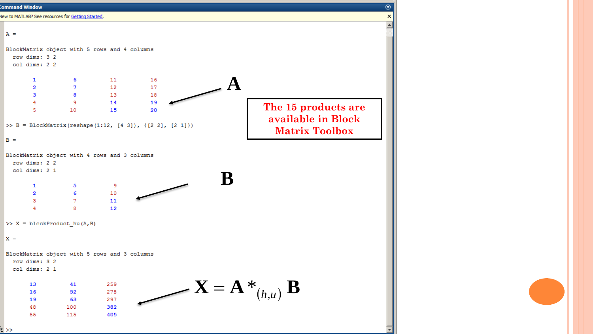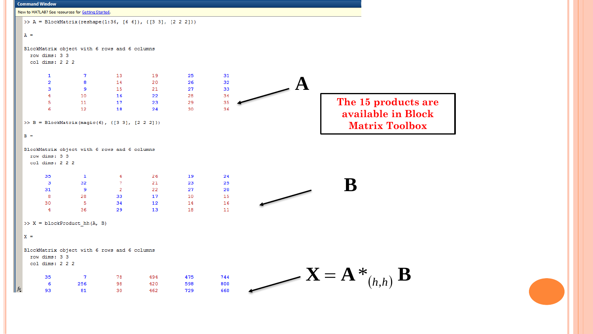|                              | New to MATLAB? See resources for Getting Started.          |                |     |     |     |  |                                                 |
|------------------------------|------------------------------------------------------------|----------------|-----|-----|-----|--|-------------------------------------------------|
|                              | >> A = BlockMatrix(reshape(1:36, [6 6]), {[3 3], [2 2 2]}) |                |     |     |     |  |                                                 |
|                              |                                                            |                |     |     |     |  |                                                 |
| $A =$                        |                                                            |                |     |     |     |  |                                                 |
|                              | BlockMatrix object with 6 rows and 6 columns               |                |     |     |     |  |                                                 |
| row dims: 3 3                |                                                            |                |     |     |     |  |                                                 |
| $col$ dims: $2$ $2$ $2$      |                                                            |                |     |     |     |  |                                                 |
| $\mathbf{1}$                 | $\mathbf{7}$                                               | 13             | 19  | 25  | 31  |  |                                                 |
| $\overline{2}$               | 8                                                          | 14             | 20  | 26  | 32  |  |                                                 |
| 3                            | 9                                                          | 15             | 21  | 27  | 33  |  |                                                 |
| $\overline{4}$               | 10                                                         | 16             | 22  | 28  | 34  |  |                                                 |
| 5                            | 11                                                         | 17             | 23  | 29  | 35  |  | The 15 products are                             |
| 6                            | 12                                                         | 18             | 24  | 30  | 36  |  |                                                 |
|                              |                                                            |                |     |     |     |  | available in Block                              |
|                              | >> B = BlockMatrix(magic(6), {[3 3], [2 2 2]})             |                |     |     |     |  | <b>Matrix Toolbox</b>                           |
|                              |                                                            |                |     |     |     |  |                                                 |
| $B =$                        |                                                            |                |     |     |     |  |                                                 |
| row dims: 3 3                | BlockMatrix object with 6 rows and 6 columns               |                |     |     |     |  |                                                 |
| $col$ dims: $2$ $2$ $2$      |                                                            |                |     |     |     |  |                                                 |
| 35                           | $\mathbf{1}$                                               | 6              | 26  | 19  | 24  |  |                                                 |
| $\mathbf{3}$                 | 32                                                         | $\tau$         | 21  | 23  | 25  |  |                                                 |
| 31                           | - 9                                                        | $\overline{2}$ | 22  | 27  | 20  |  | B                                               |
| $\overline{8}$               | 28                                                         | 33             | 17  | 10  | 15  |  |                                                 |
| 30                           | -5                                                         | 34             | 12  | 14  | 16  |  |                                                 |
| $\overline{4}$               | 36                                                         | 29             | 13  | 18  | 11  |  |                                                 |
|                              |                                                            |                |     |     |     |  |                                                 |
|                              | $>> X = blockProduct_hh(A, B)$                             |                |     |     |     |  |                                                 |
| $X =$                        |                                                            |                |     |     |     |  |                                                 |
|                              |                                                            |                |     |     |     |  |                                                 |
|                              | BlockMatrix object with 6 rows and 6 columns               |                |     |     |     |  |                                                 |
| row dims: 3 3                |                                                            |                |     |     |     |  |                                                 |
| $col \text{ dim } s$ : 2 2 2 |                                                            |                |     |     |     |  |                                                 |
| 35                           | $\overline{7}$                                             | 78             | 494 | 475 | 744 |  |                                                 |
| 6                            | 256                                                        | 98             | 420 | 598 | 800 |  | $-\mathbf{X} = \mathbf{A} *_{(h,h)} \mathbf{B}$ |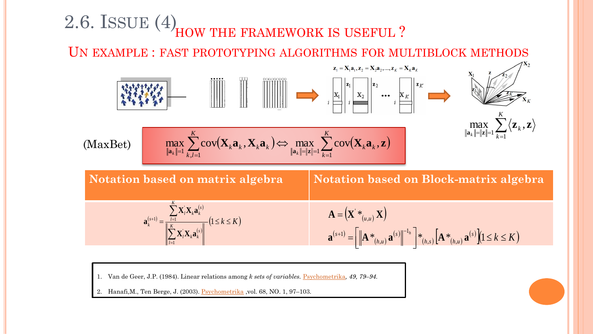### 2.6. ISSUE (4) HOW THE FRAMEWORK IS USEFUL ?

UN EXAMPLE : FAST PROTOTYPING ALGORITHMS FOR MULTIBLOCK METHODS



1. Van de Geer, J.P. (1984). Linear relations among *k sets of variables.* [Psychometrika](http://econpapers.repec.org/article/sprpsycho/)*, 49, 79–94.*

Hanafi, M., Ten Berge, J. (2003). [Psychometrika](http://econpapers.repec.org/article/sprpsycho/) ,vol. 68, NO. 1, 97–103.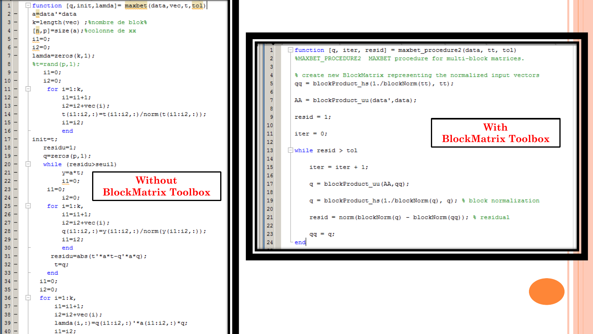| 1                | function [q, init, lamda] = maxbet (data, vec, t, tol)      |  |  |  |  |  |
|------------------|-------------------------------------------------------------|--|--|--|--|--|
| $2^{\circ}$      | a=data'*data                                                |  |  |  |  |  |
| $3 -$            | k=length(vec) ;%nombre de blok%                             |  |  |  |  |  |
| 4                | $[n, p] = size(a)$ ; scolonne de xx                         |  |  |  |  |  |
| 5                | $i1 = 0:$                                                   |  |  |  |  |  |
| $6 -$            | $i2=0;$                                                     |  |  |  |  |  |
| 7 –              | $lamda = zeros(k, 1)$ ;                                     |  |  |  |  |  |
| 8                | $\texttt{st=rand}(p,1)$ ;                                   |  |  |  |  |  |
| 9.               | $i1=0;$                                                     |  |  |  |  |  |
| 10 -             | $i2=0:$                                                     |  |  |  |  |  |
| $11 -$           | for $i=1:k$ ,                                               |  |  |  |  |  |
| $12 -$           | i1=i1+1;                                                    |  |  |  |  |  |
| $13 -$           | $i2 = i2 + vec(i);$                                         |  |  |  |  |  |
| $14 -$           | $t(i1:i2,:)=t(i1:i2,:)/norm(t(i1:i2,:));$                   |  |  |  |  |  |
| $15 -$           | i1=i2;                                                      |  |  |  |  |  |
| $16 -$           | end                                                         |  |  |  |  |  |
| $17 -$           | $init=t$ ;                                                  |  |  |  |  |  |
| $18 -$           | residu=1;                                                   |  |  |  |  |  |
| $19 -$           | $q =$ zeros $(p, 1)$ ;                                      |  |  |  |  |  |
| 20 -             | while (residu>seuil)                                        |  |  |  |  |  |
| 21 -             | y=a*t;                                                      |  |  |  |  |  |
| 22 –             | Without<br>$i1=0:$                                          |  |  |  |  |  |
| 23 -             | $i1 = 0;$<br><b>BlockMatrix Toolbox</b>                     |  |  |  |  |  |
| 24 -             | $i2=0;$                                                     |  |  |  |  |  |
| $25 -$           | for $i=1:k$ ,                                               |  |  |  |  |  |
| 26 -             | i1=i1+1;                                                    |  |  |  |  |  |
| 27 -             | $i2 = i2 + vec(i);$                                         |  |  |  |  |  |
| 28 —             | $q(i1:i2,:)=y(i1:i2,:)/norm(y(i1:i2,:));$                   |  |  |  |  |  |
| 29 -             | i1=i2;                                                      |  |  |  |  |  |
| $30 -$           | end                                                         |  |  |  |  |  |
| $31 -$           | residu=abs(t'*a*t-q'*a*q);                                  |  |  |  |  |  |
| $32 -$           | t=q;                                                        |  |  |  |  |  |
| $33 -$           | end                                                         |  |  |  |  |  |
| $34 -$           | $i1=0;$                                                     |  |  |  |  |  |
| $35 -$<br>$36 -$ | $i2=0;$                                                     |  |  |  |  |  |
| $37 -$           | for $i=1:k$ ,<br>$ - $                                      |  |  |  |  |  |
|                  | $i1 = i1 + 1;$                                              |  |  |  |  |  |
|                  |                                                             |  |  |  |  |  |
| $38 -$<br>$39 -$ | $i2 = i2 + vec(i);$<br>lamda(i,:)=q(i1:i2,:)'*a(i1:i2,:)*q; |  |  |  |  |  |
|                  |                                                             |  |  |  |  |  |

 $\Box$  function [q, iter, resid] = maxbet procedure2 (data, tt, tol) %MAXBET PROCEDURE2 MAXBET procedure for multi-block matrices.  $\overline{2}$ % create new BlockMatrix representing the normalized input vectors  $qq = blockProduct$  hs(1./blockNorm(tt), tt); AA = blockProduct uu(data', data);  $resid = 1;$ **With** 10 11  $iter = 0;$ **BlockMatrix Toolbox**12  $\Box$  while resid > tol 13 15 iter = iter + 1; 16  $q = blockProduct_uu(AA, qq);$ 17 18  $\mathtt{q}$  = blockProduct\_hs(1./blockNorm(q), q); <br>% <br>block normalization 19 20 21  $resid = norm(blockNorm(q) - blockNorm(qq));$  % residual 22 23  $qq = q;$ 24  $^{\mathrel{\mathop{\sqcup}}\nolimits}$  end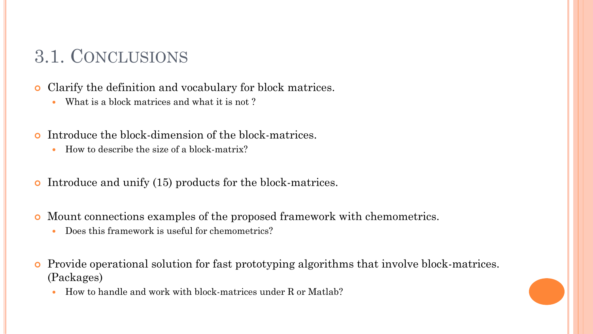# 3.1. CONCLUSIONS

Clarify the definition and vocabulary for block matrices.

- What is a block matrices and what it is not ?
- Introduce the block-dimension of the block-matrices.
	- How to describe the size of a block-matrix?
- Introduce and unify (15) products for the block-matrices.
- Mount connections examples of the proposed framework with chemometrics.
	- Does this framework is useful for chemometrics?
- Provide operational solution for fast prototyping algorithms that involve block-matrices. (Packages)
	- How to handle and work with block-matrices under R or Matlab?